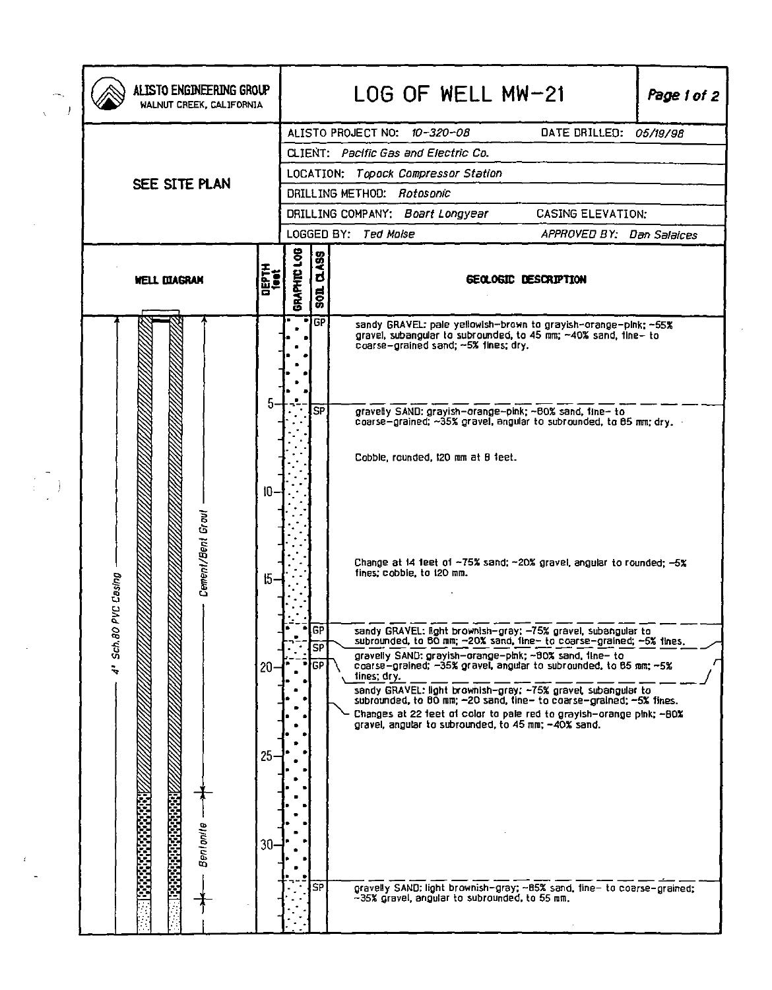